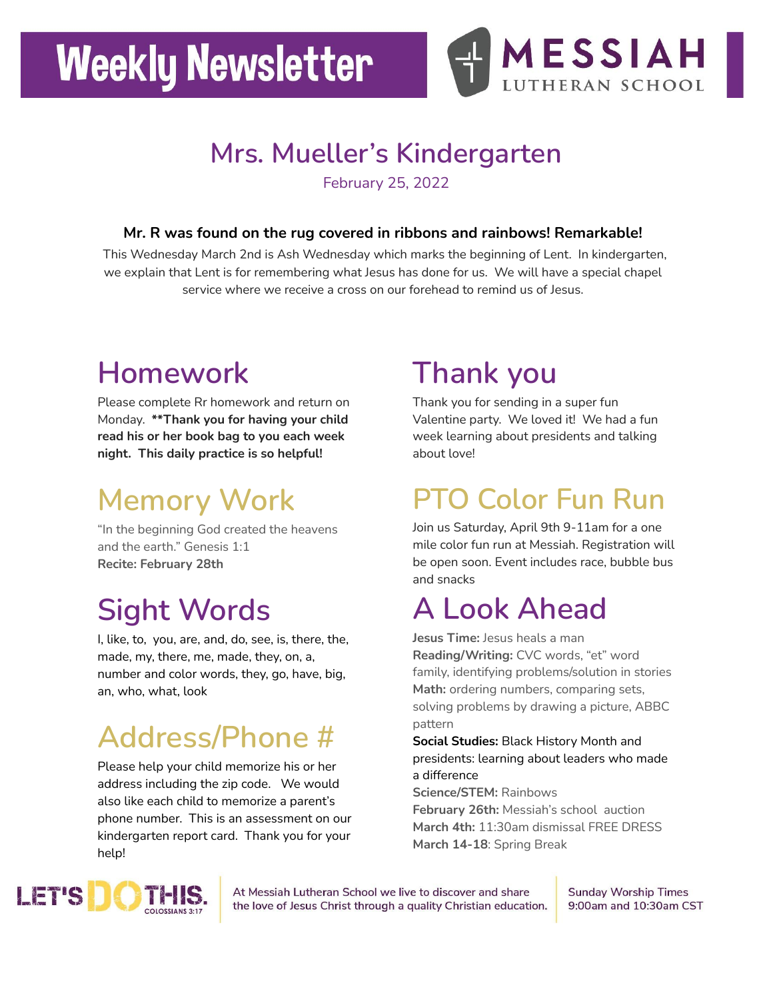## **Weekly Newsletter**



#### **Mrs. Mueller's Kindergarten**

February 25, 2022

#### **Mr. R was found on the rug covered in ribbons and rainbows! Remarkable!**

This Wednesday March 2nd is Ash Wednesday which marks the beginning of Lent. In kindergarten, we explain that Lent is for remembering what Jesus has done for us. We will have a special chapel service where we receive a cross on our forehead to remind us of Jesus.

#### **Homework**

Please complete Rr homework and return on Monday. **\*\*Thank you for having your child read his or her book bag to you each week night. This daily practice is so helpful!**

### **Memory Work**

"In the beginning God created the heavens and the earth." Genesis 1:1 **Recite: February 28th**

#### **Sight Words**

I, like, to, you, are, and, do, see, is, there, the, made, my, there, me, made, they, on, a, number and color words, they, go, have, big, an, who, what, look

#### **Address/Phone #**

Please help your child memorize his or her address including the zip code. We would also like each child to memorize a parent's phone number. This is an assessment on our kindergarten report card. Thank you for your help!

#### **Thank you**

Thank you for sending in a super fun Valentine party. We loved it! We had a fun week learning about presidents and talking about love!

#### **PTO Color Fun Run**

Join us Saturday, April 9th 9-11am for a one mile color fun run at Messiah. Registration will be open soon. Event includes race, bubble bus and snacks

#### **A Look Ahead**

**Jesus Time:** Jesus heals a man **Reading/Writing:** CVC words, "et" word family, identifying problems/solution in stories **Math:** ordering numbers, comparing sets, solving problems by drawing a picture, ABBC pattern

**Social Studies:** Black History Month and presidents: learning about leaders who made a difference

**Science/STEM:** Rainbows

**February 26th:** Messiah's school auction **March 4th:** 11:30am dismissal FREE DRESS **March 14-18**: Spring Break



At Messiah Lutheran School we live to discover and share the love of Jesus Christ through a quality Christian education. **Sunday Worship Times** 9:00am and 10:30am CST